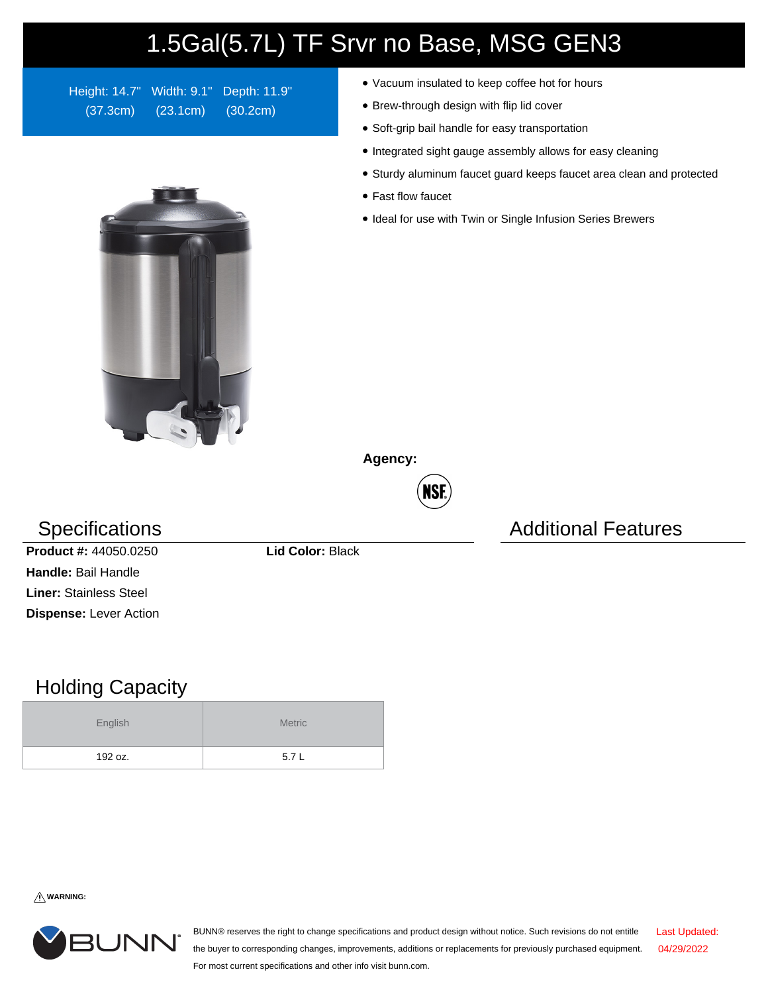## 1.5Gal(5.7L) TF Srvr no Base, MSG GEN3

Height: 14.7" Width: 9.1" Depth: 11.9" (37.3cm) (23.1cm) (30.2cm)

- Vacuum insulated to keep coffee hot for hours
- Brew-through design with flip lid cover
- Soft-grip bail handle for easy transportation
- Integrated sight gauge assembly allows for easy cleaning
- Sturdy aluminum faucet guard keeps faucet area clean and protected
- Fast flow faucet
- Ideal for use with Twin or Single Infusion Series Brewers

**Agency:**



## Specifications **Additional Features** Additional Features



**Product #:** 44050.0250 **Lid Color:** Black **Handle:** Bail Handle **Liner:** Stainless Steel **Dispense:** Lever Action

## Holding Capacity

| English | <b>Metric</b> |  |  |  |
|---------|---------------|--|--|--|
| 192 oz. | 5.7L          |  |  |  |

**WARNING:**



BUNN® reserves the right to change specifications and product design without notice. Such revisions do not entitle the buyer to corresponding changes, improvements, additions or replacements for previously purchased equipment. For most current specifications and other info visit bunn.com. Last Updated: 04/29/2022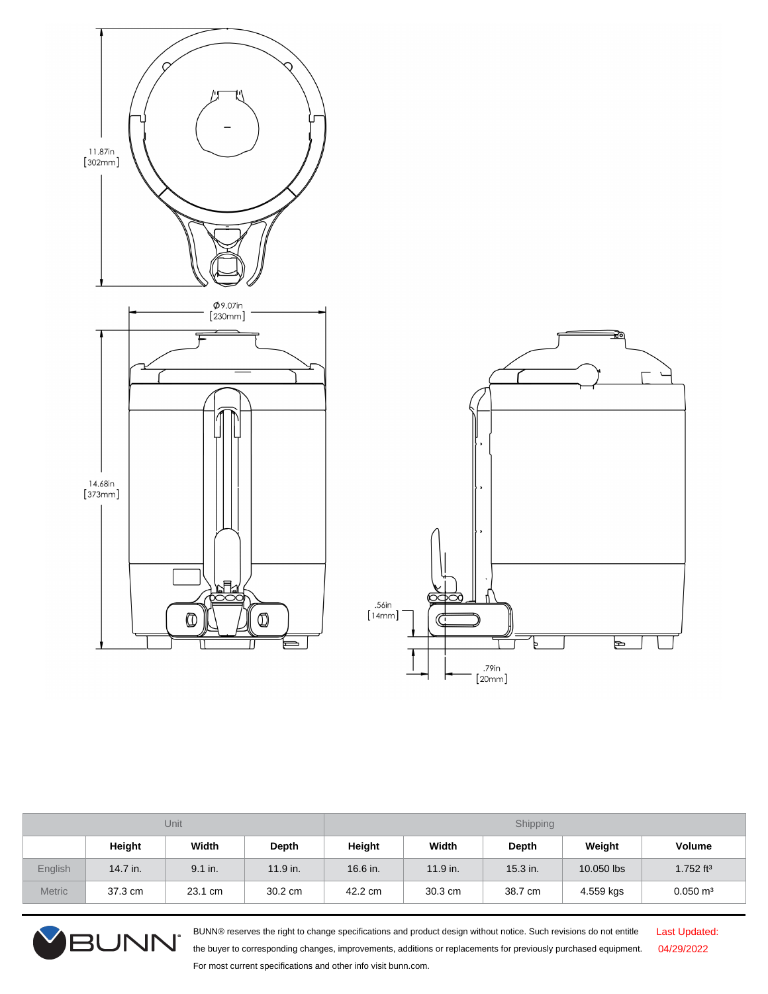

| Unit          |          |         | Shipping   |          |            |            |            |                       |
|---------------|----------|---------|------------|----------|------------|------------|------------|-----------------------|
|               | Height   | Width   | Depth      | Height   | Width      | Depth      | Weight     | <b>Volume</b>         |
| English       | 14.7 in. | 9.1 in. | $11.9$ in. | 16.6 in. | $11.9$ in. | $15.3$ in. | 10.050 lbs | 1.752 ft <sup>3</sup> |
| <b>Metric</b> | 37.3 cm  | 23.1 cm | 30.2 cm    | 42.2 cm  | 30.3 cm    | 38.7 cm    | 4.559 kgs  | $0.050 \text{ m}^3$   |



BUNN® reserves the right to change specifications and product design without notice. Such revisions do not entitle the buyer to corresponding changes, improvements, additions or replacements for previously purchased equipment. For most current specifications and other info visit bunn.com.

Last Updated: 04/29/2022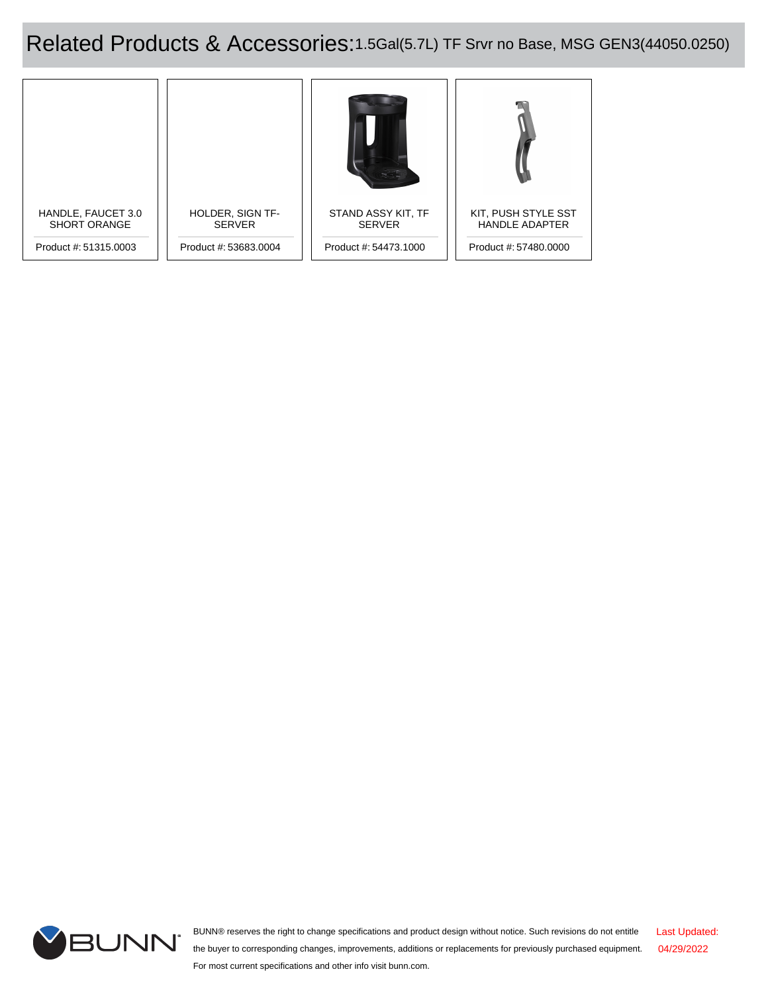Related Products & Accessories:1.5Gal(5.7L) TF Srvr no Base, MSG GEN3(44050.0250)





BUNN® reserves the right to change specifications and product design without notice. Such revisions do not entitle the buyer to corresponding changes, improvements, additions or replacements for previously purchased equipment. For most current specifications and other info visit bunn.com. Last Updated: 04/29/2022